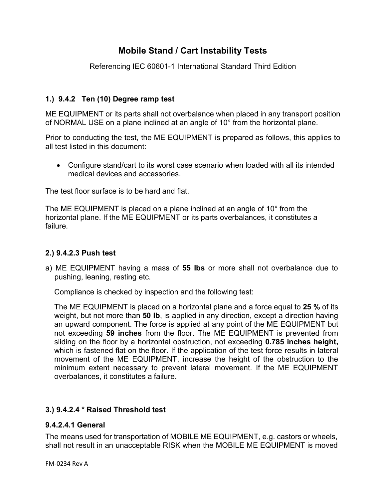# **Mobile Stand / Cart Instability Tests**

Referencing IEC 60601-1 International Standard Third Edition

## **1.) 9.4.2 Ten (10) Degree ramp test**

ME EQUIPMENT or its parts shall not overbalance when placed in any transport position of NORMAL USE on a plane inclined at an angle of 10° from the horizontal plane.

Prior to conducting the test, the ME EQUIPMENT is prepared as follows, this applies to all test listed in this document:

• Configure stand/cart to its worst case scenario when loaded with all its intended medical devices and accessories.

The test floor surface is to be hard and flat.

The ME EQUIPMENT is placed on a plane inclined at an angle of 10° from the horizontal plane. If the ME EQUIPMENT or its parts overbalances, it constitutes a failure*.* 

## **2.) 9.4.2.3 Push test**

a) ME EQUIPMENT having a mass of **55 lbs** or more shall not overbalance due to pushing, leaning, resting etc.

Compliance is checked by inspection and the following test:

The ME EQUIPMENT is placed on a horizontal plane and a force equal to **25 %** of its weight, but not more than **50 lb**, is applied in any direction, except a direction having an upward component. The force is applied at any point of the ME EQUIPMENT but not exceeding **59 inches** from the floor. The ME EQUIPMENT is prevented from sliding on the floor by a horizontal obstruction, not exceeding **0.785 inches height,** which is fastened flat on the floor. If the application of the test force results in lateral movement of the ME EQUIPMENT, increase the height of the obstruction to the minimum extent necessary to prevent lateral movement. If the ME EQUIPMENT overbalances, it constitutes a failure.

## **3.) 9.4.2.4 \* Raised Threshold test**

#### **9.4.2.4.1 General**

The means used for transportation of MOBILE ME EQUIPMENT, e.g. castors or wheels, shall not result in an unacceptable RISK when the MOBILE ME EQUIPMENT is moved